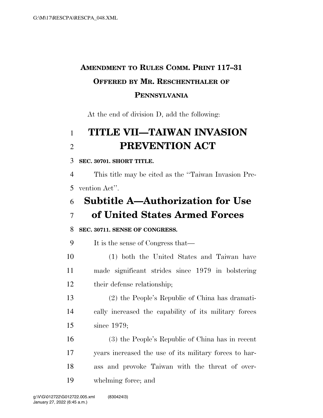# **AMENDMENT TO RULES COMM. PRINT 117–31 OFFERED BY MR. RESCHENTHALER OF PENNSYLVANIA**

At the end of division D, add the following:

# **TITLE VII—TAIWAN INVASION PREVENTION ACT**

#### **SEC. 30701. SHORT TITLE.**

 This title may be cited as the ''Taiwan Invasion Pre-vention Act''.

# **Subtitle A—Authorization for Use of United States Armed Forces**

#### **SEC. 30711. SENSE OF CONGRESS.**

It is the sense of Congress that—

- (1) both the United States and Taiwan have made significant strides since 1979 in bolstering their defense relationship;
- (2) the People's Republic of China has dramati- cally increased the capability of its military forces since 1979;
- (3) the People's Republic of China has in recent years increased the use of its military forces to har- ass and provoke Taiwan with the threat of over-whelming force; and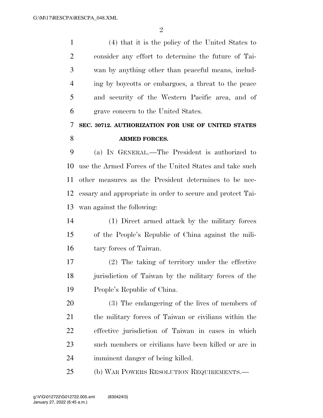$\mathfrak{D}$ 

 (4) that it is the policy of the United States to consider any effort to determine the future of Tai- wan by anything other than peaceful means, includ- ing by boycotts or embargoes, a threat to the peace and security of the Western Pacific area, and of grave concern to the United States.

### **SEC. 30712. AUTHORIZATION FOR USE OF UNITED STATES ARMED FORCES.**

 (a) IN GENERAL.—The President is authorized to use the Armed Forces of the United States and take such other measures as the President determines to be nec- essary and appropriate in order to secure and protect Tai-wan against the following:

 (1) Direct armed attack by the military forces of the People's Republic of China against the mili-tary forces of Taiwan.

 (2) The taking of territory under the effective jurisdiction of Taiwan by the military forces of the People's Republic of China.

 (3) The endangering of the lives of members of the military forces of Taiwan or civilians within the effective jurisdiction of Taiwan in cases in which such members or civilians have been killed or are in imminent danger of being killed.

(b) WAR POWERS RESOLUTION REQUIREMENTS.—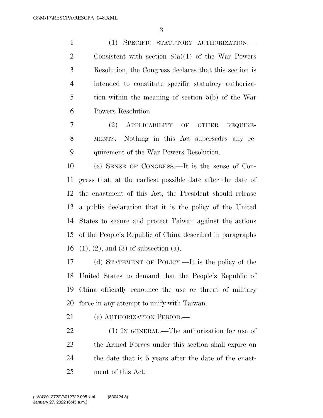(1) SPECIFIC STATUTORY AUTHORIZATION.— Consistent with section 8(a)(1) of the War Powers Resolution, the Congress declares that this section is intended to constitute specific statutory authoriza- tion within the meaning of section 5(b) of the War Powers Resolution.

 (2) APPLICABILITY OF OTHER REQUIRE- MENTS.—Nothing in this Act supersedes any re-quirement of the War Powers Resolution.

 (c) SENSE OF CONGRESS.—It is the sense of Con- gress that, at the earliest possible date after the date of the enactment of this Act, the President should release a public declaration that it is the policy of the United States to secure and protect Taiwan against the actions of the People's Republic of China described in paragraphs (1), (2), and (3) of subsection (a).

 (d) STATEMENT OF POLICY.—It is the policy of the United States to demand that the People's Republic of China officially renounce the use or threat of military force in any attempt to unify with Taiwan.

(e) AUTHORIZATION PERIOD.—

22 (1) IN GENERAL.—The authorization for use of the Armed Forces under this section shall expire on 24 the date that is 5 years after the date of the enact-ment of this Act.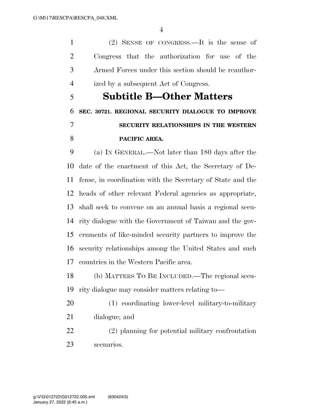(2) SENSE OF CONGRESS.—It is the sense of Congress that the authorization for use of the Armed Forces under this section should be reauthor-ized by a subsequent Act of Congress.

# **Subtitle B—Other Matters SEC. 30721. REGIONAL SECURITY DIALOGUE TO IMPROVE SECURITY RELATIONSHIPS IN THE WESTERN PACIFIC AREA.**

 (a) IN GENERAL.—Not later than 180 days after the date of the enactment of this Act, the Secretary of De- fense, in coordination with the Secretary of State and the heads of other relevant Federal agencies as appropriate, shall seek to convene on an annual basis a regional secu- rity dialogue with the Government of Taiwan and the gov- ernments of like-minded security partners to improve the security relationships among the United States and such countries in the Western Pacific area.

 (b) MATTERS TO BE INCLUDED.—The regional secu-rity dialogue may consider matters relating to—

- (1) coordinating lower-level military-to-military
- dialogue; and
- (2) planning for potential military confrontation scenarios.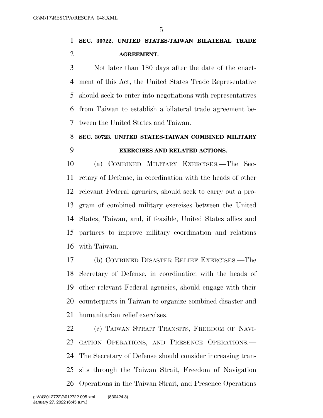**SEC. 30722. UNITED STATES-TAIWAN BILATERAL TRADE AGREEMENT.** 

 Not later than 180 days after the date of the enact- ment of this Act, the United States Trade Representative should seek to enter into negotiations with representatives from Taiwan to establish a bilateral trade agreement be-tween the United States and Taiwan.

### **SEC. 30723. UNITED STATES-TAIWAN COMBINED MILITARY EXERCISES AND RELATED ACTIONS.**

 (a) COMBINED MILITARY EXERCISES.—The Sec- retary of Defense, in coordination with the heads of other relevant Federal agencies, should seek to carry out a pro- gram of combined military exercises between the United States, Taiwan, and, if feasible, United States allies and partners to improve military coordination and relations with Taiwan.

 (b) COMBINED DISASTER RELIEF EXERCISES.—The Secretary of Defense, in coordination with the heads of other relevant Federal agencies, should engage with their counterparts in Taiwan to organize combined disaster and humanitarian relief exercises.

 (c) TAIWAN STRAIT TRANSITS, FREEDOM OF NAVI- GATION OPERATIONS, AND PRESENCE OPERATIONS.— The Secretary of Defense should consider increasing tran- sits through the Taiwan Strait, Freedom of Navigation Operations in the Taiwan Strait, and Presence Operations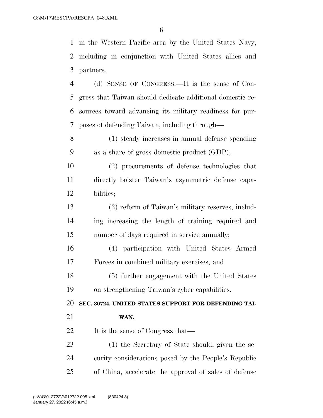in the Western Pacific area by the United States Navy, including in conjunction with United States allies and partners.

 (d) SENSE OF CONGRESS.—It is the sense of Con- gress that Taiwan should dedicate additional domestic re- sources toward advancing its military readiness for pur-poses of defending Taiwan, including through—

 (1) steady increases in annual defense spending as a share of gross domestic product (GDP);

 (2) procurements of defense technologies that directly bolster Taiwan's asymmetric defense capa-bilities;

 (3) reform of Taiwan's military reserves, includ- ing increasing the length of training required and number of days required in service annually;

 (4) participation with United States Armed Forces in combined military exercises; and

 (5) further engagement with the United States on strengthening Taiwan's cyber capabilities.

**SEC. 30724. UNITED STATES SUPPORT FOR DEFENDING TAI-**

**WAN.** 

22 It is the sense of Congress that—

 (1) the Secretary of State should, given the se- curity considerations posed by the People's Republic of China, accelerate the approval of sales of defense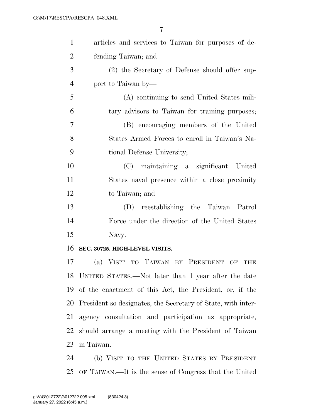| $\mathbf{1}$   | articles and services to Taiwan for purposes of de-          |
|----------------|--------------------------------------------------------------|
| $\overline{2}$ | fending Taiwan; and                                          |
| 3              | (2) the Secretary of Defense should offer sup-               |
| $\overline{4}$ | port to Taiwan by—                                           |
| 5              | (A) continuing to send United States mili-                   |
| 6              | tary advisors to Taiwan for training purposes;               |
| 7              | (B) encouraging members of the United                        |
| 8              | States Armed Forces to enroll in Taiwan's Na-                |
| 9              | tional Defense University;                                   |
| 10             | (C) maintaining a significant United                         |
| 11             | States naval presence within a close proximity               |
| 12             | to Taiwan; and                                               |
| 13             | reestablishing the Taiwan Patrol<br>(D)                      |
| 14             | Force under the direction of the United States               |
| 15             | Navy.                                                        |
| 16             | SEC. 30725. HIGH-LEVEL VISITS.                               |
| 17             | (a) VISIT TO TAIWAN BY PRESIDENT<br>OF<br>THE                |
|                | 18 UNITED STATES.—Not later than 1 year after the date       |
| 19             | of the enactment of this Act, the President, or, if the      |
| 20             | President so designates, the Secretary of State, with inter- |
| 21             | agency consultation and participation as appropriate,        |

 should arrange a meeting with the President of Taiwan in Taiwan.

 (b) VISIT TO THE UNITED STATES BY PRESIDENT OF TAIWAN.—It is the sense of Congress that the United